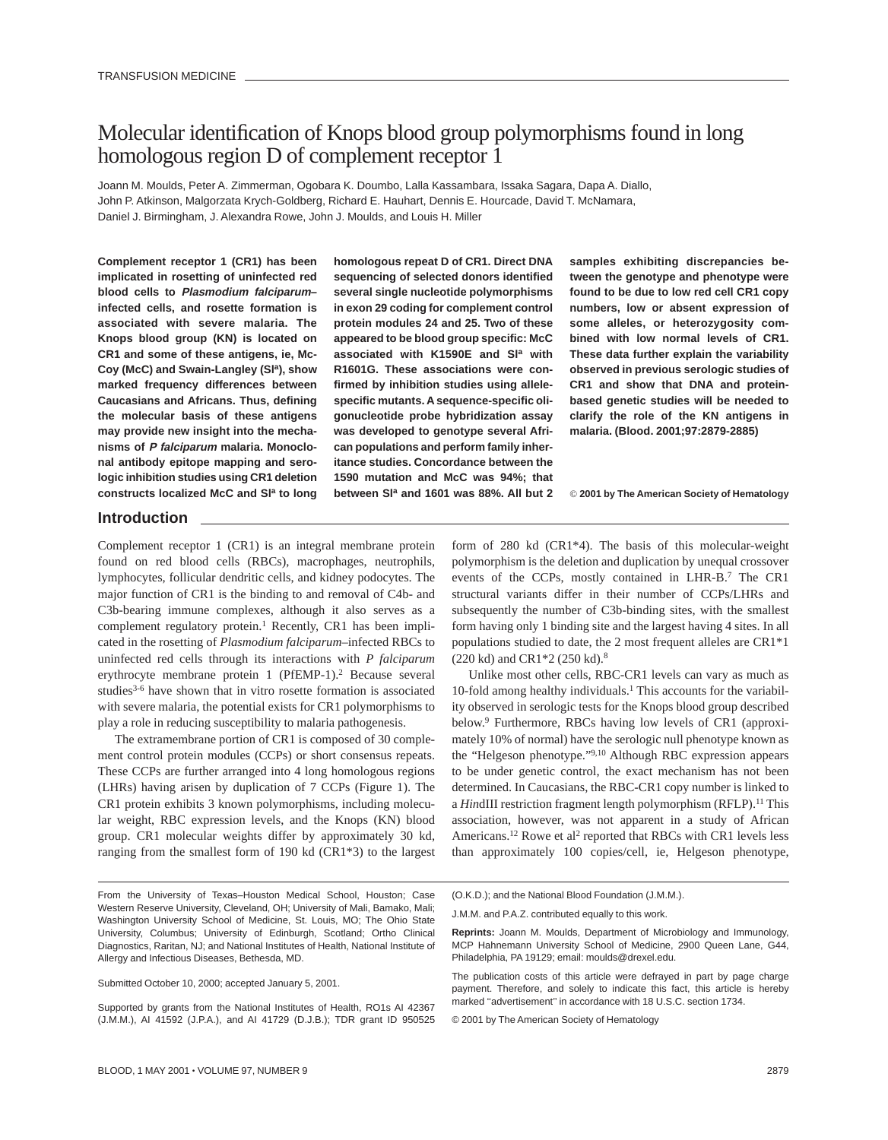# Molecular identification of Knops blood group polymorphisms found in long homologous region D of complement receptor 1

Joann M. Moulds, Peter A. Zimmerman, Ogobara K. Doumbo, Lalla Kassambara, Issaka Sagara, Dapa A. Diallo, John P. Atkinson, Malgorzata Krych-Goldberg, Richard E. Hauhart, Dennis E. Hourcade, David T. McNamara, Daniel J. Birmingham, J. Alexandra Rowe, John J. Moulds, and Louis H. Miller

**Complement receptor 1 (CR1) has been implicated in rosetting of uninfected red blood cells to Plasmodium falciparum– infected cells, and rosette formation is associated with severe malaria. The Knops blood group (KN) is located on CR1 and some of these antigens, ie, Mc-**Coy (McC) and Swain-Langley (Sl<sup>a</sup>), show **marked frequency differences between Caucasians and Africans. Thus, defining the molecular basis of these antigens may provide new insight into the mechanisms of P falciparum malaria. Monoclonal antibody epitope mapping and serologic inhibition studies using CR1 deletion constructs localized McC and Sla to long**

**homologous repeat D of CR1. Direct DNA sequencing of selected donors identified several single nucleotide polymorphisms in exon 29 coding for complement control protein modules 24 and 25. Two of these appeared to be blood group specific: McC associated with K1590E and Sla with R1601G. These associations were confirmed by inhibition studies using allelespecific mutants. A sequence-specific oligonucleotide probe hybridization assay was developed to genotype several African populations and perform family inheritance studies. Concordance between the 1590 mutation and McC was 94%; that between Sla and 1601 was 88%. All but 2** **samples exhibiting discrepancies between the genotype and phenotype were found to be due to low red cell CR1 copy numbers, low or absent expression of some alleles, or heterozygosity combined with low normal levels of CR1. These data further explain the variability observed in previous serologic studies of CR1 and show that DNA and proteinbased genetic studies will be needed to clarify the role of the KN antigens in malaria. (Blood. 2001;97:2879-2885)**

© **2001 by The American Society of Hematology**

# **Introduction**

Complement receptor 1 (CR1) is an integral membrane protein found on red blood cells (RBCs), macrophages, neutrophils, lymphocytes, follicular dendritic cells, and kidney podocytes. The major function of CR1 is the binding to and removal of C4b- and C3b-bearing immune complexes, although it also serves as a complement regulatory protein.<sup>1</sup> Recently, CR1 has been implicated in the rosetting of *Plasmodium falciparum*–infected RBCs to uninfected red cells through its interactions with *P falciparum* erythrocyte membrane protein 1 (PfEMP-1).2 Because several studies<sup>3-6</sup> have shown that in vitro rosette formation is associated with severe malaria, the potential exists for CR1 polymorphisms to play a role in reducing susceptibility to malaria pathogenesis.

The extramembrane portion of CR1 is composed of 30 complement control protein modules (CCPs) or short consensus repeats. These CCPs are further arranged into 4 long homologous regions (LHRs) having arisen by duplication of 7 CCPs (Figure 1). The CR1 protein exhibits 3 known polymorphisms, including molecular weight, RBC expression levels, and the Knops (KN) blood group. CR1 molecular weights differ by approximately 30 kd, ranging from the smallest form of 190 kd (CR1\*3) to the largest

Unlike most other cells, RBC-CR1 levels can vary as much as 10-fold among healthy individuals.<sup>1</sup> This accounts for the variability observed in serologic tests for the Knops blood group described below.9 Furthermore, RBCs having low levels of CR1 (approximately 10% of normal) have the serologic null phenotype known as the "Helgeson phenotype."9,10 Although RBC expression appears to be under genetic control, the exact mechanism has not been determined. In Caucasians, the RBC-CR1 copy number is linked to a *Hin*dIII restriction fragment length polymorphism (RFLP).<sup>11</sup> This association, however, was not apparent in a study of African Americans.<sup>12</sup> Rowe et al<sup>2</sup> reported that RBCs with CR1 levels less than approximately 100 copies/cell, ie, Helgeson phenotype,

Submitted October 10, 2000; accepted January 5, 2001.

(O.K.D.); and the National Blood Foundation (J.M.M.).

© 2001 by The American Society of Hematology

form of 280 kd (CR1\*4). The basis of this molecular-weight polymorphism is the deletion and duplication by unequal crossover events of the CCPs, mostly contained in LHR-B.7 The CR1 structural variants differ in their number of CCPs/LHRs and subsequently the number of C3b-binding sites, with the smallest form having only 1 binding site and the largest having 4 sites. In all populations studied to date, the 2 most frequent alleles are CR1\*1 (220 kd) and CR1\*2 (250 kd).8

From the University of Texas–Houston Medical School, Houston; Case Western Reserve University, Cleveland, OH; University of Mali, Bamako, Mali; Washington University School of Medicine, St. Louis, MO; The Ohio State University, Columbus; University of Edinburgh, Scotland; Ortho Clinical Diagnostics, Raritan, NJ; and National Institutes of Health, National Institute of Allergy and Infectious Diseases, Bethesda, MD.

Supported by grants from the National Institutes of Health, RO1s AI 42367 (J.M.M.), AI 41592 (J.P.A.), and AI 41729 (D.J.B.); TDR grant ID 950525

J.M.M. and P.A.Z. contributed equally to this work.

**Reprints:** Joann M. Moulds, Department of Microbiology and Immunology, MCP Hahnemann University School of Medicine, 2900 Queen Lane, G44, Philadelphia, PA 19129; email: moulds@drexel.edu.

The publication costs of this article were defrayed in part by page charge payment. Therefore, and solely to indicate this fact, this article is hereby marked "advertisement" in accordance with 18 U.S.C. section 1734.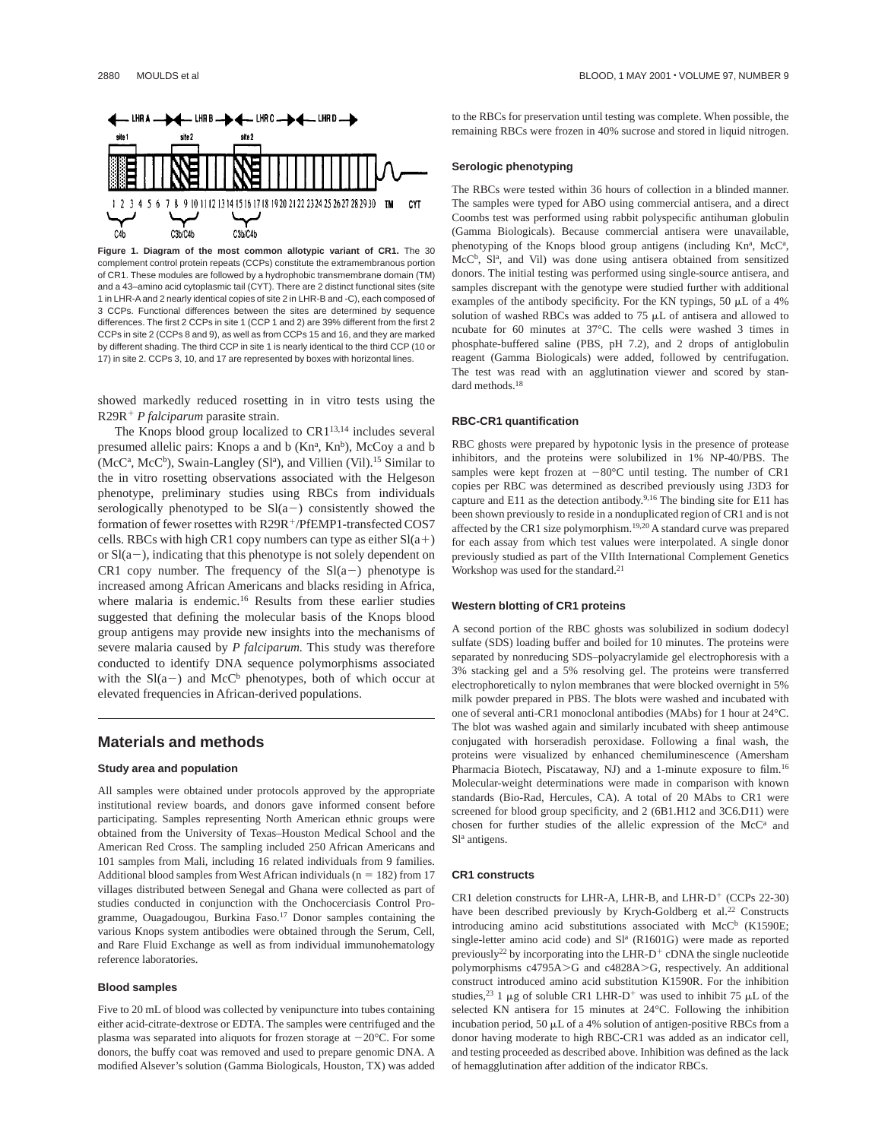

**Figure 1. Diagram of the most common allotypic variant of CR1.** The 30 complement control protein repeats (CCPs) constitute the extramembranous portion of CR1. These modules are followed by a hydrophobic transmembrane domain (TM) and a 43–amino acid cytoplasmic tail (CYT). There are 2 distinct functional sites (site 1 in LHR-A and 2 nearly identical copies of site 2 in LHR-B and -C), each composed of 3 CCPs. Functional differences between the sites are determined by sequence differences. The first 2 CCPs in site 1 (CCP 1 and 2) are 39% different from the first 2 CCPs in site 2 (CCPs 8 and 9), as well as from CCPs 15 and 16, and they are marked by different shading. The third CCP in site 1 is nearly identical to the third CCP (10 or 17) in site 2. CCPs 3, 10, and 17 are represented by boxes with horizontal lines.

showed markedly reduced rosetting in in vitro tests using the R29R<sup>+</sup> *P falciparum* parasite strain.

The Knops blood group localized to CR1<sup>13,14</sup> includes several presumed allelic pairs: Knops a and b (Knª, Kn<sup>b</sup>), McCoy a and b (McC<sup>a</sup>, McC<sup>b</sup>), Swain-Langley (Sl<sup>a</sup>), and Villien (Vil).<sup>15</sup> Similar to the in vitro rosetting observations associated with the Helgeson phenotype, preliminary studies using RBCs from individuals serologically phenotyped to be  $Sl(a-)$  consistently showed the formation of fewer rosettes with R29R<sup>+</sup>/PfEMP1-transfected COS7 cells. RBCs with high CR1 copy numbers can type as either  $Sl(a+)$ or  $Sl(a-)$ , indicating that this phenotype is not solely dependent on CR1 copy number. The frequency of the  $Sl(a-)$  phenotype is increased among African Americans and blacks residing in Africa, where malaria is endemic.<sup>16</sup> Results from these earlier studies suggested that defining the molecular basis of the Knops blood group antigens may provide new insights into the mechanisms of severe malaria caused by *P falciparum.* This study was therefore conducted to identify DNA sequence polymorphisms associated with the  $Sl(a-)$  and McC<sup>b</sup> phenotypes, both of which occur at elevated frequencies in African-derived populations.

# **Materials and methods**

#### **Study area and population**

All samples were obtained under protocols approved by the appropriate institutional review boards, and donors gave informed consent before participating. Samples representing North American ethnic groups were obtained from the University of Texas–Houston Medical School and the American Red Cross. The sampling included 250 African Americans and 101 samples from Mali, including 16 related individuals from 9 families. Additional blood samples from West African individuals ( $n = 182$ ) from 17 villages distributed between Senegal and Ghana were collected as part of studies conducted in conjunction with the Onchocerciasis Control Programme, Ouagadougou, Burkina Faso.<sup>17</sup> Donor samples containing the various Knops system antibodies were obtained through the Serum, Cell, and Rare Fluid Exchange as well as from individual immunohematology reference laboratories.

#### **Blood samples**

Five to 20 mL of blood was collected by venipuncture into tubes containing either acid-citrate-dextrose or EDTA. The samples were centrifuged and the plasma was separated into aliquots for frozen storage at  $-20^{\circ}$ C. For some donors, the buffy coat was removed and used to prepare genomic DNA. A modified Alsever's solution (Gamma Biologicals, Houston, TX) was added

to the RBCs for preservation until testing was complete. When possible, the remaining RBCs were frozen in 40% sucrose and stored in liquid nitrogen.

## **Serologic phenotyping**

The RBCs were tested within 36 hours of collection in a blinded manner. The samples were typed for ABO using commercial antisera, and a direct Coombs test was performed using rabbit polyspecific antihuman globulin (Gamma Biologicals). Because commercial antisera were unavailable, phenotyping of the Knops blood group antigens (including Knª, McCª, McC<sup>b</sup>, Sl<sup>a</sup>, and Vil) was done using antisera obtained from sensitized donors. The initial testing was performed using single-source antisera, and samples discrepant with the genotype were studied further with additional examples of the antibody specificity. For the KN typings, 50  $\mu$ L of a 4% solution of washed RBCs was added to  $75 \mu L$  of antisera and allowed to ncubate for 60 minutes at 37°C. The cells were washed 3 times in phosphate-buffered saline (PBS, pH 7.2), and 2 drops of antiglobulin reagent (Gamma Biologicals) were added, followed by centrifugation. The test was read with an agglutination viewer and scored by standard methods.18

#### **RBC-CR1 quantification**

RBC ghosts were prepared by hypotonic lysis in the presence of protease inhibitors, and the proteins were solubilized in 1% NP-40/PBS. The samples were kept frozen at  $-80^{\circ}$ C until testing. The number of CR1 copies per RBC was determined as described previously using J3D3 for capture and E11 as the detection antibody.<sup>9,16</sup> The binding site for E11 has been shown previously to reside in a nonduplicated region of CR1 and is not affected by the CR1 size polymorphism.19,20 A standard curve was prepared for each assay from which test values were interpolated. A single donor previously studied as part of the VIIth International Complement Genetics Workshop was used for the standard.<sup>21</sup>

#### **Western blotting of CR1 proteins**

A second portion of the RBC ghosts was solubilized in sodium dodecyl sulfate (SDS) loading buffer and boiled for 10 minutes. The proteins were separated by nonreducing SDS–polyacrylamide gel electrophoresis with a 3% stacking gel and a 5% resolving gel. The proteins were transferred electrophoretically to nylon membranes that were blocked overnight in 5% milk powder prepared in PBS. The blots were washed and incubated with one of several anti-CR1 monoclonal antibodies (MAbs) for 1 hour at 24°C. The blot was washed again and similarly incubated with sheep antimouse conjugated with horseradish peroxidase. Following a final wash, the proteins were visualized by enhanced chemiluminescence (Amersham Pharmacia Biotech, Piscataway, NJ) and a 1-minute exposure to film.<sup>16</sup> Molecular-weight determinations were made in comparison with known standards (Bio-Rad, Hercules, CA). A total of 20 MAbs to CR1 were screened for blood group specificity, and 2 (6B1.H12 and 3C6.D11) were chosen for further studies of the allelic expression of the McC<sup>a</sup> and Sl<sup>a</sup> antigens.

#### **CR1 constructs**

CR1 deletion constructs for LHR-A, LHR-B, and LHR-D<sup>+</sup> (CCPs  $22-30$ ) have been described previously by Krych-Goldberg et al.<sup>22</sup> Constructs introducing amino acid substitutions associated with  $McC<sup>b</sup>$  (K1590E; single-letter amino acid code) and  $Sl<sup>a</sup>$  (R1601G) were made as reported previously<sup>22</sup> by incorporating into the LHR-D<sup>+</sup> cDNA the single nucleotide polymorphisms  $c4795A > G$  and  $c4828A > G$ , respectively. An additional construct introduced amino acid substitution K1590R. For the inhibition studies,<sup>23</sup> 1  $\mu$ g of soluble CR1 LHR-D<sup>+</sup> was used to inhibit 75  $\mu$ L of the selected KN antisera for 15 minutes at 24°C. Following the inhibition incubation period, 50  $\mu$ L of a 4% solution of antigen-positive RBCs from a donor having moderate to high RBC-CR1 was added as an indicator cell, and testing proceeded as described above. Inhibition was defined as the lack of hemagglutination after addition of the indicator RBCs.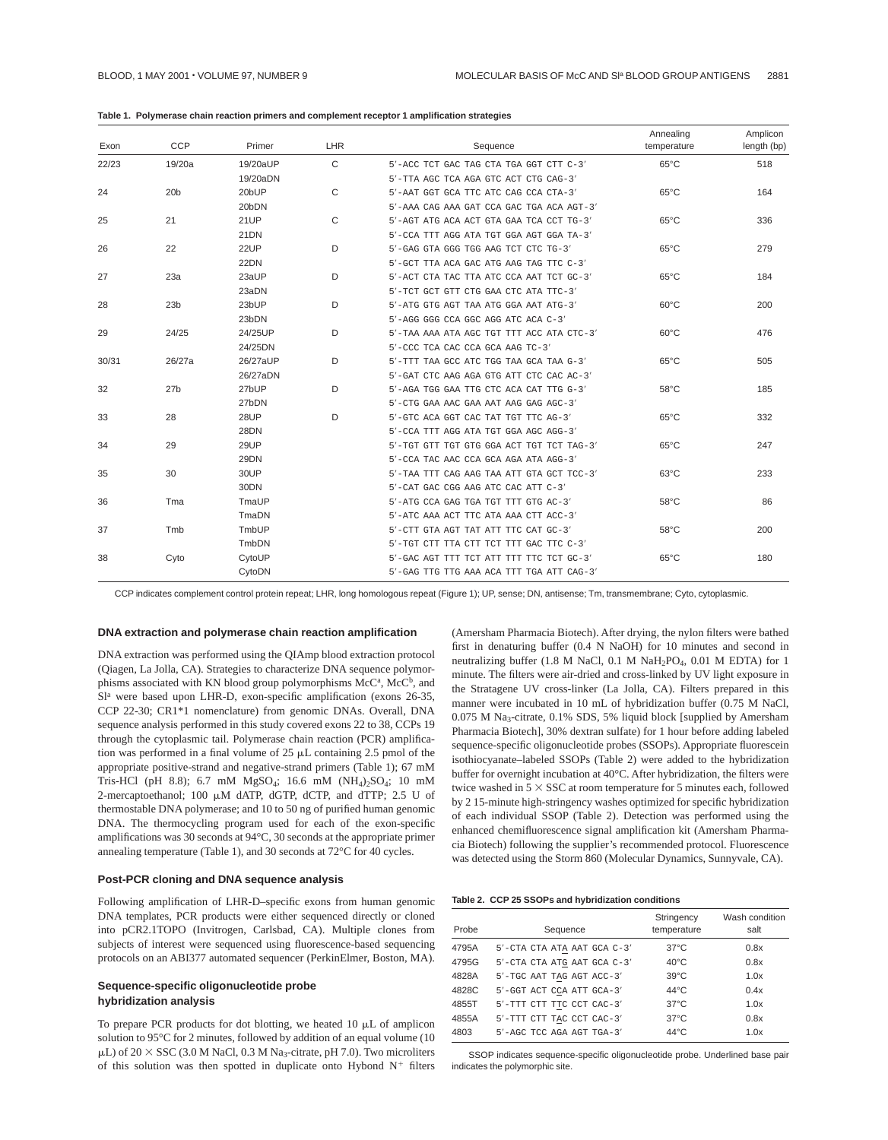| Table 1. Polymerase chain reaction primers and complement receptor 1 amplification strategies |  |  |  |  |
|-----------------------------------------------------------------------------------------------|--|--|--|--|
|-----------------------------------------------------------------------------------------------|--|--|--|--|

| Exon  | CCP             | Primer           | LHR          | Sequence                                  | Annealing<br>temperature | Amplicon<br>length (bp) |
|-------|-----------------|------------------|--------------|-------------------------------------------|--------------------------|-------------------------|
| 22/23 | 19/20a          | 19/20aUP         | $\mathsf{C}$ | 5'-ACC TCT GAC TAG CTA TGA GGT CTT C-3'   | $65^{\circ}$ C           | 518                     |
|       |                 | 19/20aDN         |              | 5'-TTA AGC TCA AGA GTC ACT CTG CAG-3'     |                          |                         |
| 24    | 20 <sub>b</sub> | 20bUP            | C            | 5'-AAT GGT GCA TTC ATC CAG CCA CTA-3'     | $65^{\circ}$ C           | 164                     |
|       |                 | 20bDN            |              | 5'-AAA CAG AAA GAT CCA GAC TGA ACA AGT-3' |                          |                         |
| 25    | 21              | <b>21UP</b>      | C            | 5'-AGT ATG ACA ACT GTA GAA TCA CCT TG-3'  | $65^{\circ}$ C           | 336                     |
|       |                 | 21DN             |              | 5'-CCA TTT AGG ATA TGT GGA AGT GGA TA-3'  |                          |                         |
| 26    | 22              | 22UP             | D            | 5'-GAG GTA GGG TGG AAG TCT CTC TG-3'      | $65^{\circ}$ C           | 279                     |
|       |                 | 22DN             |              | 5'-GCT TTA ACA GAC ATG AAG TAG TTC C-3'   |                          |                         |
| 27    | 23a             | 23aUP            | D            | 5'-ACT CTA TAC TTA ATC CCA AAT TCT GC-3'  | $65^{\circ}$ C           | 184                     |
|       |                 | 23aDN            |              | 5'-TCT GCT GTT CTG GAA CTC ATA TTC-3'     |                          |                         |
| 28    | 23 <sub>b</sub> | 23bUP            | D            | 5'-ATG GTG AGT TAA ATG GGA AAT ATG-3'     | $60^{\circ}$ C           | 200                     |
|       |                 | 23bDN            |              | 5'-AGG GGG CCA GGC AGG ATC ACA C-3'       |                          |                         |
| 29    | 24/25           | 24/25UP          | D            | 5'-TAA AAA ATA AGC TGT TTT ACC ATA CTC-3' | $60^{\circ}$ C           | 476                     |
|       |                 | 24/25DN          |              | 5'-CCC TCA CAC CCA GCA AAG TC-3'          |                          |                         |
| 30/31 | 26/27a          | 26/27aUP         | D            | 5'-TTT TAA GCC ATC TGG TAA GCA TAA G-3'   | $65^{\circ}$ C           | 505                     |
|       |                 | 26/27aDN         |              | 5'-GAT CTC AAG AGA GTG ATT CTC CAC AC-3'  |                          |                         |
| 32    | 27 <sub>b</sub> | 27bUP            | D            | 5'-AGA TGG GAA TTG CTC ACA CAT TTG G-3'   | $58^{\circ}$ C           | 185                     |
|       |                 | 27bDN            |              | 5'-CTG GAA AAC GAA AAT AAG GAG AGC-3'     |                          |                         |
| 33    | 28              | 28UP             | D            | 5'-GTC ACA GGT CAC TAT TGT TTC AG-3'      | $65^{\circ}$ C           | 332                     |
|       |                 | 28DN             |              | 5'-CCA TTT AGG ATA TGT GGA AGC AGG-3'     |                          |                         |
| 34    | 29              | 29UP             |              | 5'-TGT GTT TGT GTG GGA ACT TGT TCT TAG-3' | $65^{\circ}$ C           | 247                     |
|       |                 | 29DN             |              | 5'-CCA TAC AAC CCA GCA AGA ATA AGG-3'     |                          |                         |
| 35    | 30              | 30UP             |              | 5'-TAA TTT CAG AAG TAA ATT GTA GCT TCC-3' | $63^{\circ}$ C           | 233                     |
|       |                 | 30 <sub>DN</sub> |              | $5'$ -CAT GAC CGG AAG ATC CAC ATT C-3'    |                          |                         |
| 36    | Tma             | TmaUP            |              | 5'-ATG CCA GAG TGA TGT TTT GTG AC-3'      | $58^{\circ}$ C           | 86                      |
|       |                 | TmaDN            |              | 5'-ATC AAA ACT TTC ATA AAA CTT ACC-3'     |                          |                         |
| 37    | Tmb             | TmbUP            |              | 5'-CTT GTA AGT TAT ATT TTC CAT GC-3'      | $58^{\circ}$ C           | 200                     |
|       |                 | TmbDN            |              | 5'-TGT CTT TTA CTT TCT TTT GAC TTC C-3'   |                          |                         |
| 38    | Cyto            | CytoUP           |              | 5'-GAC AGT TTT TCT ATT TTT TTC TCT GC-3'  | $65^{\circ}$ C           | 180                     |
|       |                 | CytoDN           |              | 5'-GAG TTG TTG AAA ACA TTT TGA ATT CAG-3' |                          |                         |

CCP indicates complement control protein repeat; LHR, long homologous repeat (Figure 1); UP, sense; DN, antisense; Tm, transmembrane; Cyto, cytoplasmic.

### **DNA extraction and polymerase chain reaction amplification**

DNA extraction was performed using the QIAmp blood extraction protocol (Qiagen, La Jolla, CA). Strategies to characterize DNA sequence polymorphisms associated with KN blood group polymorphisms McC<sup>a</sup>, McC<sup>b</sup>, and Sl<sup>a</sup> were based upon LHR-D, exon-specific amplification (exons 26-35, CCP 22-30; CR1\*1 nomenclature) from genomic DNAs. Overall, DNA sequence analysis performed in this study covered exons 22 to 38, CCPs 19 through the cytoplasmic tail. Polymerase chain reaction (PCR) amplification was performed in a final volume of  $25 \mu L$  containing  $2.5 \text{ pmol}$  of the appropriate positive-strand and negative-strand primers (Table 1); 67 mM Tris-HCl (pH 8.8); 6.7 mM MgSO<sub>4</sub>; 16.6 mM (NH<sub>4</sub>)<sub>2</sub>SO<sub>4</sub>; 10 mM 2-mercaptoethanol; 100  $\mu$ M dATP, dGTP, dCTP, and dTTP; 2.5 U of thermostable DNA polymerase; and 10 to 50 ng of purified human genomic DNA. The thermocycling program used for each of the exon-specific amplifications was 30 seconds at 94°C, 30 seconds at the appropriate primer annealing temperature (Table 1), and 30 seconds at 72°C for 40 cycles.

## **Post-PCR cloning and DNA sequence analysis**

Following amplification of LHR-D–specific exons from human genomic DNA templates, PCR products were either sequenced directly or cloned into pCR2.1TOPO (Invitrogen, Carlsbad, CA). Multiple clones from subjects of interest were sequenced using fluorescence-based sequencing protocols on an ABI377 automated sequencer (PerkinElmer, Boston, MA).

# **Sequence-specific oligonucleotide probe hybridization analysis**

To prepare PCR products for dot blotting, we heated  $10 \mu L$  of amplicon solution to 95°C for 2 minutes, followed by addition of an equal volume (10  $\mu$ L) of 20  $\times$  SSC (3.0 M NaCl, 0.3 M Na<sub>3</sub>-citrate, pH 7.0). Two microliters of this solution was then spotted in duplicate onto Hybond  $N^+$  filters (Amersham Pharmacia Biotech). After drying, the nylon filters were bathed first in denaturing buffer (0.4 N NaOH) for 10 minutes and second in neutralizing buffer (1.8 M NaCl, 0.1 M NaH<sub>2</sub>PO<sub>4</sub>, 0.01 M EDTA) for 1 minute. The filters were air-dried and cross-linked by UV light exposure in the Stratagene UV cross-linker (La Jolla, CA). Filters prepared in this manner were incubated in 10 mL of hybridization buffer (0.75 M NaCl, 0.075 M Na3-citrate, 0.1% SDS, 5% liquid block [supplied by Amersham Pharmacia Biotech], 30% dextran sulfate) for 1 hour before adding labeled sequence-specific oligonucleotide probes (SSOPs). Appropriate fluorescein isothiocyanate–labeled SSOPs (Table 2) were added to the hybridization buffer for overnight incubation at 40°C. After hybridization, the filters were twice washed in  $5 \times SSC$  at room temperature for 5 minutes each, followed by 2 15-minute high-stringency washes optimized for specific hybridization of each individual SSOP (Table 2). Detection was performed using the enhanced chemifluorescence signal amplification kit (Amersham Pharmacia Biotech) following the supplier's recommended protocol. Fluorescence was detected using the Storm 860 (Molecular Dynamics, Sunnyvale, CA).

#### **Table 2. CCP 25 SSOPs and hybridization conditions**

| Probe | Sequence                    | Stringency<br>temperature | Wash condition<br>salt |
|-------|-----------------------------|---------------------------|------------------------|
| 4795A | 5'-CTA CTA ATA AAT GCA C-3' | $37^{\circ}$ C            | 0.8x                   |
| 4795G | 5'-CTA CTA ATG AAT GCA C-3' | $40^{\circ}$ C            | 0.8x                   |
| 4828A | 5'-TGC AAT TAG AGT ACC-3'   | $39^{\circ}$ C            | 1.0x                   |
| 4828C | 5'-GGT ACT CCA ATT GCA-3'   | $44^{\circ}$ C            | 0.4x                   |
| 4855T | 5'-TTT CTT TTC CCT CAC-3'   | $37^{\circ}$ C            | 1.0x                   |
| 4855A | 5'-TTT CTT TAC CCT CAC-3'   | $37^{\circ}$ C            | 0.8x                   |
| 4803  | 5'-AGC TCC AGA AGT TGA-3'   | $44^{\circ}$ C            | 1.0x                   |

SSOP indicates sequence-specific oligonucleotide probe. Underlined base pair indicates the polymorphic site.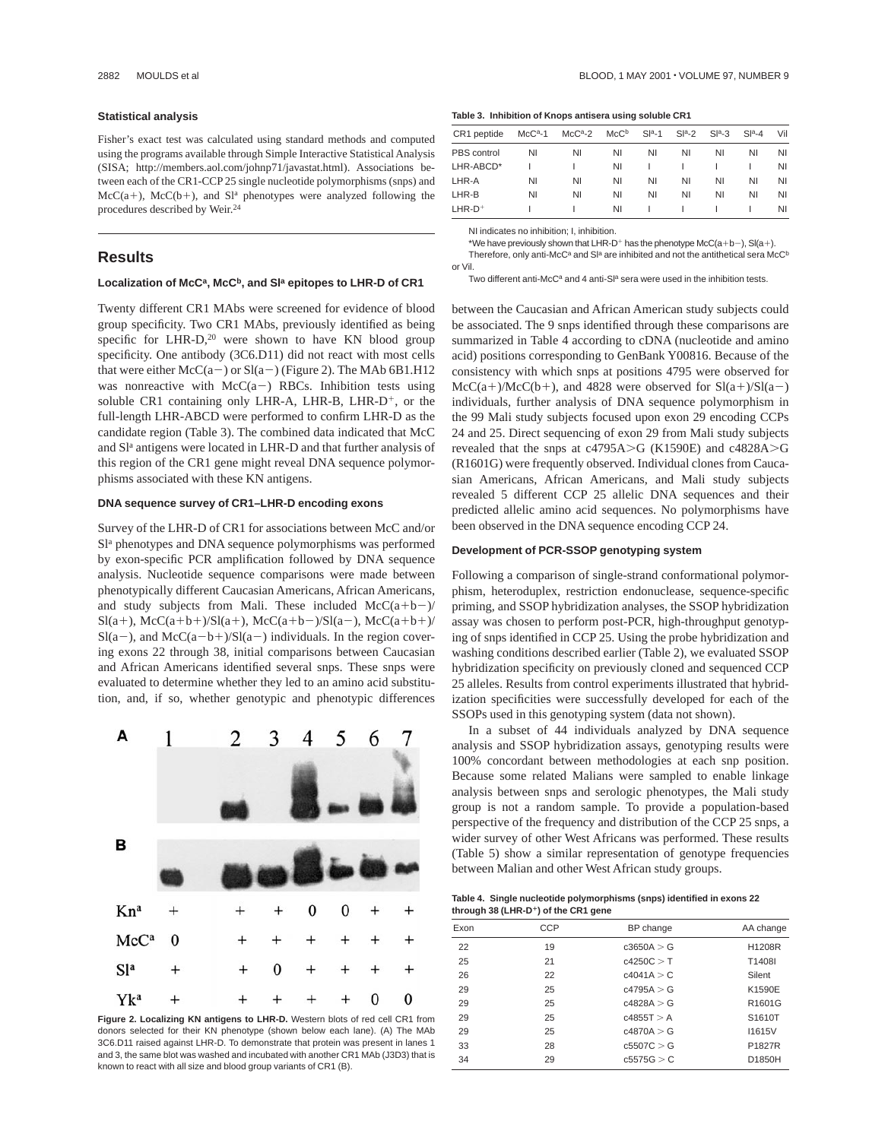#### **Statistical analysis**

Fisher's exact test was calculated using standard methods and computed using the programs available through Simple Interactive Statistical Analysis (SISA; http://members.aol.com/johnp71/javastat.html). Associations between each of the CR1-CCP 25 single nucleotide polymorphisms (snps) and  $McC(a+)$ ,  $McC(b+)$ , and  $Sl<sup>a</sup>$  phenotypes were analyzed following the procedures described by Weir.<sup>24</sup>

# **Results**

#### Localization of McC<sup>a</sup>, McC<sup>b</sup>, and SI<sup>a</sup> epitopes to LHR-D of CR1

Twenty different CR1 MAbs were screened for evidence of blood group specificity. Two CR1 MAbs, previously identified as being specific for LHR-D,<sup>20</sup> were shown to have KN blood group specificity. One antibody (3C6.D11) did not react with most cells that were either  $McC(a-)$  or  $Sl(a-)$  (Figure 2). The MAb 6B1.H12 was nonreactive with  $McC(a-)$  RBCs. Inhibition tests using soluble CR1 containing only LHR-A, LHR-B, LHR-D<sup>+</sup>, or the full-length LHR-ABCD were performed to confirm LHR-D as the candidate region (Table 3). The combined data indicated that McC and Sl<sup>a</sup> antigens were located in LHR-D and that further analysis of this region of the CR1 gene might reveal DNA sequence polymorphisms associated with these KN antigens.

# **DNA sequence survey of CR1–LHR-D encoding exons**

Survey of the LHR-D of CR1 for associations between McC and/or Sl<sup>a</sup> phenotypes and DNA sequence polymorphisms was performed by exon-specific PCR amplification followed by DNA sequence analysis. Nucleotide sequence comparisons were made between phenotypically different Caucasian Americans, African Americans, and study subjects from Mali. These included  $McC(a+b-)/$  $Sl(a+)$ , McC(a+b+)/Sl(a+), McC(a+b-)/Sl(a-), McC(a+b+)/  $Sl(a-)$ , and  $McC(a-b+)/Sl(a-)$  individuals. In the region covering exons 22 through 38, initial comparisons between Caucasian and African Americans identified several snps. These snps were evaluated to determine whether they led to an amino acid substitution, and, if so, whether genotypic and phenotypic differences



donors selected for their KN phenotype (shown below each lane). (A) The MAb 3C6.D11 raised against LHR-D. To demonstrate that protein was present in lanes 1 and 3, the same blot was washed and incubated with another CR1 MAb (J3D3) that is known to react with all size and blood group variants of CR1 (B).

#### **Table 3. Inhibition of Knops antisera using soluble CR1**

| CR1 peptide | $McCa-1$ | $McCa-2$ | McC <sup>b</sup> | $Sla-1$ | $Sla-2$ | $Sla-3$ | $Sla-4$ | Vil |
|-------------|----------|----------|------------------|---------|---------|---------|---------|-----|
| PBS control | ΝI       | NI       | NI               | NI      | ΝI      | NI      | ΝI      | NI  |
| LHR-ABCD*   |          |          | ΝI               |         |         |         |         | ΝI  |
| LHR-A       | ΝI       | NI       | ΝI               | NI      | ΝI      | NI      | ΝI      | ΝI  |
| LHR-B       | ΝI       | NI       | ΝI               | NI      | ΝI      | ΝI      | ΝI      | NI  |
| $LHR-D+$    |          |          | ΝI               |         |         |         |         | ΝI  |

NI indicates no inhibition; I, inhibition.

\*We have previously shown that LHR-D<sup>+</sup> has the phenotype McC(a+b-), Sl(a+). Therefore, only anti-McC<sup>a</sup> and Sl<sup>a</sup> are inhibited and not the antithetical sera McC<sup>b</sup> or Vil.

Two different anti-McC<sup>a</sup> and 4 anti-S $l^a$  sera were used in the inhibition tests.

between the Caucasian and African American study subjects could be associated. The 9 snps identified through these comparisons are summarized in Table 4 according to cDNA (nucleotide and amino acid) positions corresponding to GenBank Y00816. Because of the consistency with which snps at positions 4795 were observed for  $McC(a+)/McC(b+),$  and 4828 were observed for  $Sl(a+)/Sl(a-)$ individuals, further analysis of DNA sequence polymorphism in the 99 Mali study subjects focused upon exon 29 encoding CCPs 24 and 25. Direct sequencing of exon 29 from Mali study subjects revealed that the snps at  $c4795A > G$  (K1590E) and  $c4828A > G$ (R1601G) were frequently observed. Individual clones from Caucasian Americans, African Americans, and Mali study subjects revealed 5 different CCP 25 allelic DNA sequences and their predicted allelic amino acid sequences. No polymorphisms have been observed in the DNA sequence encoding CCP 24.

#### **Development of PCR-SSOP genotyping system**

Following a comparison of single-strand conformational polymorphism, heteroduplex, restriction endonuclease, sequence-specific priming, and SSOP hybridization analyses, the SSOP hybridization assay was chosen to perform post-PCR, high-throughput genotyping of snps identified in CCP 25. Using the probe hybridization and washing conditions described earlier (Table 2), we evaluated SSOP hybridization specificity on previously cloned and sequenced CCP 25 alleles. Results from control experiments illustrated that hybridization specificities were successfully developed for each of the SSOPs used in this genotyping system (data not shown).

In a subset of 44 individuals analyzed by DNA sequence analysis and SSOP hybridization assays, genotyping results were 100% concordant between methodologies at each snp position. Because some related Malians were sampled to enable linkage analysis between snps and serologic phenotypes, the Mali study group is not a random sample. To provide a population-based perspective of the frequency and distribution of the CCP 25 snps, a wider survey of other West Africans was performed. These results (Table 5) show a similar representation of genotype frequencies between Malian and other West African study groups.

**Table 4. Single nucleotide polymorphisms (snps) identified in exons 22 through 38 (LHR-D**<sup>1</sup>**) of the CR1 gene**

| Exon | CCP | BP change  | AA change     |
|------|-----|------------|---------------|
| 22   | 19  | c3650A > G | H1208R        |
| 25   | 21  | c4250C > T | T1408I        |
| 26   | 22  | c4041A > C | Silent        |
| 29   | 25  | c4795A > G | K1590E        |
| 29   | 25  | c4828A > G | R1601G        |
| 29   | 25  | c4855T > A | S1610T        |
| 29   | 25  | c4870A > G | <b>I1615V</b> |
| 33   | 28  | c5507C > G | P1827R        |
| 34   | 29  | c5575G > C | D1850H        |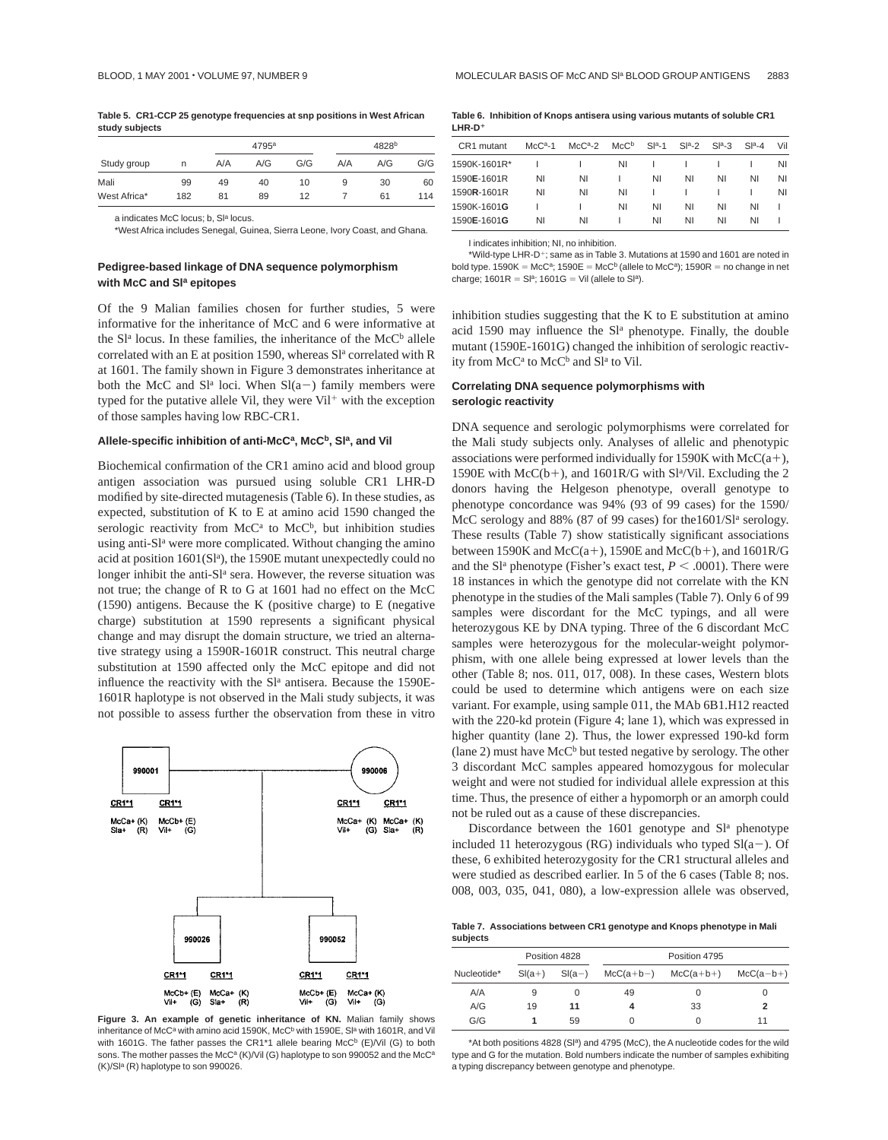|              |     |     | 4795 <sup>a</sup> |     |     | 4828 <sup>b</sup> |     |  |  |
|--------------|-----|-----|-------------------|-----|-----|-------------------|-----|--|--|
| Study group  | n   | A/A | A/G               | G/G | A/A | A/G               | G/G |  |  |
| Mali         | 99  | 49  | 40                | 10  | 9   | 30                | 60  |  |  |
| West Africa* | 182 | 81  | 89                | 12  |     | 61                | 114 |  |  |

a indicates McC locus; b, Sla locus.

\*West Africa includes Senegal, Guinea, Sierra Leone, Ivory Coast, and Ghana.

# **Pedigree-based linkage of DNA sequence polymorphism with McC and Sla epitopes**

Of the 9 Malian families chosen for further studies, 5 were informative for the inheritance of McC and 6 were informative at the  $S<sup>1a</sup>$  locus. In these families, the inheritance of the McC<sup>b</sup> allele correlated with an E at position 1590, whereas Sl<sup>a</sup> correlated with R at 1601. The family shown in Figure 3 demonstrates inheritance at both the McC and  $S<sup>1a</sup>$  loci. When  $Sl(a-)$  family members were typed for the putative allele Vil, they were Vil $^+$  with the exception of those samples having low RBC-CR1.

#### Allele-specific inhibition of anti-McC<sup>a</sup>, McC<sup>b</sup>, Sl<sup>a</sup>, and Vil

Biochemical confirmation of the CR1 amino acid and blood group antigen association was pursued using soluble CR1 LHR-D modified by site-directed mutagenesis (Table 6). In these studies, as expected, substitution of K to E at amino acid 1590 changed the serologic reactivity from  $McC<sup>a</sup>$  to  $McC<sup>b</sup>$ , but inhibition studies using anti-Sl<sup>a</sup> were more complicated. Without changing the amino acid at position 1601(Slª), the 1590E mutant unexpectedly could no longer inhibit the anti-Sl<sup>a</sup> sera. However, the reverse situation was not true; the change of R to G at 1601 had no effect on the McC (1590) antigens. Because the K (positive charge) to E (negative charge) substitution at 1590 represents a significant physical change and may disrupt the domain structure, we tried an alternative strategy using a 1590R-1601R construct. This neutral charge substitution at 1590 affected only the McC epitope and did not influence the reactivity with the  $S<sup>1a</sup>$  antisera. Because the 1590E-1601R haplotype is not observed in the Mali study subjects, it was not possible to assess further the observation from these in vitro



inheritance of McC<sup>a</sup> with amino acid 1590K, McC<sup>b</sup> with 1590E, Sl<sup>a</sup> with 1601R, and Vil with 1601G. The father passes the CR1<sup>\*1</sup> allele bearing McC<sup>b</sup> (E)/Vil (G) to both sons. The mother passes the McC<sup>a</sup> (K)/Vil (G) haplotype to son 990052 and the McC<sup>a</sup> (K)/Sla (R) haplotype to son 990026.

|          | Table 6. Inhibition of Knops antisera using various mutants of soluble CR1 |
|----------|----------------------------------------------------------------------------|
| $LHR-D+$ |                                                                            |

| CR <sub>1</sub> mutant | $McCa-1$ | $McCa-2$ | McC <sup>b</sup> | $Sla-1$ | $Sla-2$ | $Sla-3$ | $Sla-4$ | Vil |
|------------------------|----------|----------|------------------|---------|---------|---------|---------|-----|
| 1590K-1601R*           |          |          | ΝI               |         |         |         |         | ΝI  |
| 1590E-1601R            | ΝI       | ΝI       |                  | ΝI      | ΝI      | ΝI      | ΝI      | ΝI  |
| 1590R-1601R            | ΝI       | ΝI       | ΝI               |         |         |         |         | ΝI  |
| 1590K-1601G            |          |          | ΝI               | ΝI      | ΝI      | ΝI      | ΝI      |     |
| 1590E-1601G            | ΝI       | NI       |                  | ΝI      | ΝI      | ΝI      | ΝI      |     |

I indicates inhibition; NI, no inhibition.

\*Wild-type LHR-D<sup>+</sup>; same as in Table 3. Mutations at 1590 and 1601 are noted in bold type. 1590K = McC<sup>a</sup>; 1590E = McC<sup>b</sup> (allele to McC<sup>a</sup>); 1590R = no change in net charge:  $1601R = SI<sup>a</sup>$ ; 1601G = Vil (allele to Sl<sup>a</sup>).

inhibition studies suggesting that the K to E substitution at amino acid 1590 may influence the  $Sl<sup>a</sup>$  phenotype. Finally, the double mutant (1590E-1601G) changed the inhibition of serologic reactivity from McC<sup>a</sup> to McC<sup>b</sup> and Sl<sup>a</sup> to Vil.

# **Correlating DNA sequence polymorphisms with serologic reactivity**

DNA sequence and serologic polymorphisms were correlated for the Mali study subjects only. Analyses of allelic and phenotypic associations were performed individually for 1590K with  $McC(a+)$ , 1590E with  $McC(b+)$ , and 1601R/G with Sl<sup>a</sup>/Vil. Excluding the 2 donors having the Helgeson phenotype, overall genotype to phenotype concordance was 94% (93 of 99 cases) for the 1590/ McC serology and 88% (87 of 99 cases) for the 1601/Sl<sup>a</sup> serology. These results (Table 7) show statistically significant associations between 1590K and McC(a+), 1590E and McC(b+), and 1601R/G and the S<sup> $1a$ </sup> phenotype (Fisher's exact test,  $P \leq .0001$ ). There were 18 instances in which the genotype did not correlate with the KN phenotype in the studies of the Mali samples (Table 7). Only 6 of 99 samples were discordant for the McC typings, and all were heterozygous KE by DNA typing. Three of the 6 discordant McC samples were heterozygous for the molecular-weight polymorphism, with one allele being expressed at lower levels than the other (Table 8; nos. 011, 017, 008). In these cases, Western blots could be used to determine which antigens were on each size variant. For example, using sample 011, the MAb 6B1.H12 reacted with the 220-kd protein (Figure 4; lane 1), which was expressed in higher quantity (lane 2). Thus, the lower expressed 190-kd form (lane 2) must have  $McC^b$  but tested negative by serology. The other 3 discordant McC samples appeared homozygous for molecular weight and were not studied for individual allele expression at this time. Thus, the presence of either a hypomorph or an amorph could not be ruled out as a cause of these discrepancies.

Discordance between the  $1601$  genotype and  $S<sup>1a</sup>$  phenotype included 11 heterozygous (RG) individuals who typed  $Sl(a-)$ . Of these, 6 exhibited heterozygosity for the CR1 structural alleles and were studied as described earlier. In 5 of the 6 cases (Table 8; nos. 008, 003, 035, 041, 080), a low-expression allele was observed,

**Table 7. Associations between CR1 genotype and Knops phenotype in Mali subjects**

| Position 4828 |          |          |    |                         |             |
|---------------|----------|----------|----|-------------------------|-------------|
| Nucleotide*   | $Sl(a+)$ | $Sl(a-)$ |    | $McC(a+b-)$ $McC(a+b+)$ | $McC(a-b+)$ |
| A/A           | 9        |          | 49 |                         | O           |
| A/G           | 19       | 11       |    | 33                      |             |
| G/G           |          | 59       |    | $\Omega$                |             |

\*At both positions 4828 (Sl<sup>a</sup>) and 4795 (McC), the A nucleotide codes for the wild type and G for the mutation. Bold numbers indicate the number of samples exhibiting a typing discrepancy between genotype and phenotype.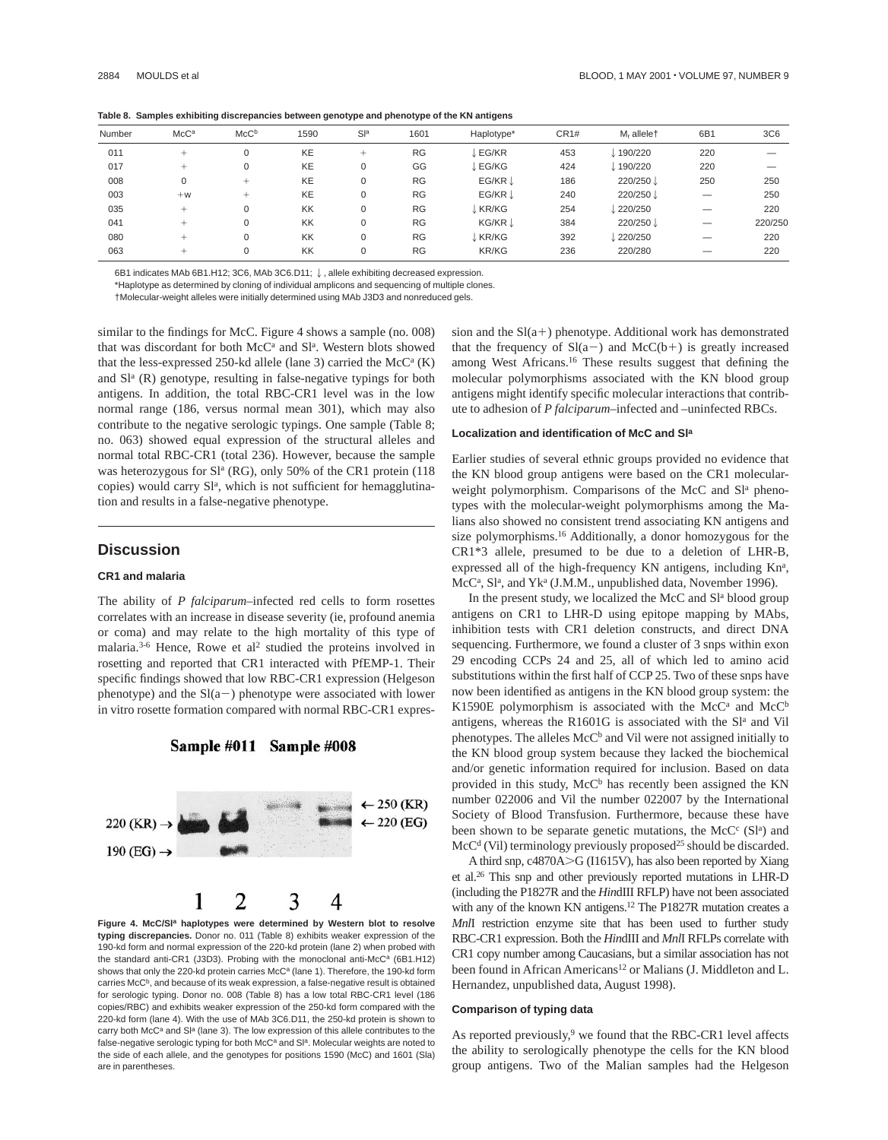| Number | McC <sup>a</sup> | McC <sup>b</sup> | 1590      | Sla         | 1601      | Haplotype*         | CR <sub>1#</sub> | M <sub>r</sub> allelet | 6B1 | 3C6     |
|--------|------------------|------------------|-----------|-------------|-----------|--------------------|------------------|------------------------|-----|---------|
| 011    | $^+$             |                  | <b>KE</b> | $^+$        | <b>RG</b> | EG/KR              | 453              | 190/220                | 220 |         |
| 017    | $^+$             | 0                | <b>KE</b> | 0           | GG        | EG/KG              | 424              | 190/220                | 220 |         |
| 008    |                  | $+$              | <b>KE</b> | $\mathbf 0$ | <b>RG</b> | EG/KR $\downarrow$ | 186              | 220/250↓               | 250 | 250     |
| 003    | $+w$             | $+$              | <b>KE</b> | $\mathbf 0$ | <b>RG</b> | EG/KR J            | 240              | 220/250↓               |     | 250     |
| 035    | $^+$             | 0                | KK        | 0           | <b>RG</b> | ↓KR/KG             | 254              | 220/250                |     | 220     |
| 041    | $^+$             |                  | KK        | $\Omega$    | <b>RG</b> | KG/KR J            | 384              | 220/250↓               |     | 220/250 |
| 080    | $^+$             | 0                | KK        | $\mathbf 0$ | <b>RG</b> | ↓KR/KG             | 392              | 220/250                |     | 220     |
| 063    | +                |                  | KK        | $\mathbf 0$ | <b>RG</b> | <b>KR/KG</b>       | 236              | 220/280                |     | 220     |

**Table 8. Samples exhibiting discrepancies between genotype and phenotype of the KN antigens**

6B1 indicates MAb 6B1.H12; 3C6, MAb 3C6.D11;  $\downarrow$ , allele exhibiting decreased expression.

\*Haplotype as determined by cloning of individual amplicons and sequencing of multiple clones.

†Molecular-weight alleles were initially determined using MAb J3D3 and nonreduced gels.

similar to the findings for McC. Figure 4 shows a sample (no. 008) that was discordant for both McC<sup>a</sup> and Sl<sup>a</sup>. Western blots showed that the less-expressed 250-kd allele (lane 3) carried the McC $a$  (K) and  $Sl<sup>a</sup>$  (R) genotype, resulting in false-negative typings for both antigens. In addition, the total RBC-CR1 level was in the low normal range (186, versus normal mean 301), which may also contribute to the negative serologic typings. One sample (Table 8; no. 063) showed equal expression of the structural alleles and normal total RBC-CR1 (total 236). However, because the sample was heterozygous for  $Sl<sup>a</sup> (RG)$ , only 50% of the CR1 protein (118) copies) would carry Sl<sup>a</sup>, which is not sufficient for hemagglutination and results in a false-negative phenotype.

# **Discussion**

## **CR1 and malaria**

The ability of *P falciparum*–infected red cells to form rosettes correlates with an increase in disease severity (ie, profound anemia or coma) and may relate to the high mortality of this type of malaria. $3-6$  Hence, Rowe et al<sup>2</sup> studied the proteins involved in rosetting and reported that CR1 interacted with PfEMP-1. Their specific findings showed that low RBC-CR1 expression (Helgeson phenotype) and the  $Sl(a-)$  phenotype were associated with lower in vitro rosette formation compared with normal RBC-CR1 expres-



Sample #011 Sample #008

**Figure 4. McC/Sla haplotypes were determined by Western blot to resolve typing discrepancies.** Donor no. 011 (Table 8) exhibits weaker expression of the 190-kd form and normal expression of the 220-kd protein (lane 2) when probed with the standard anti-CR1 (J3D3). Probing with the monoclonal anti-McC<sup>a</sup> (6B1.H12) shows that only the 220-kd protein carries McC<sup>a</sup> (lane 1). Therefore, the 190-kd form carries McC<sup>b</sup>, and because of its weak expression, a false-negative result is obtained for serologic typing. Donor no. 008 (Table 8) has a low total RBC-CR1 level (186 copies/RBC) and exhibits weaker expression of the 250-kd form compared with the 220-kd form (lane 4). With the use of MAb 3C6.D11, the 250-kd protein is shown to carry both McC<sup>a</sup> and S<sup>la</sup> (lane 3). The low expression of this allele contributes to the false-negative serologic typing for both McC<sup>a</sup> and SI<sup>a</sup>. Molecular weights are noted to the side of each allele, and the genotypes for positions 1590 (McC) and 1601 (Sla) are in parentheses.

sion and the  $Sl(a+)$  phenotype. Additional work has demonstrated that the frequency of  $Sl(a-)$  and  $McC(b+)$  is greatly increased among West Africans.16 These results suggest that defining the molecular polymorphisms associated with the KN blood group antigens might identify specific molecular interactions that contribute to adhesion of *P falciparum*–infected and –uninfected RBCs.

#### **Localization and identification of McC and Sla**

Earlier studies of several ethnic groups provided no evidence that the KN blood group antigens were based on the CR1 molecularweight polymorphism. Comparisons of the McC and Sl<sup>a</sup> phenotypes with the molecular-weight polymorphisms among the Malians also showed no consistent trend associating KN antigens and size polymorphisms.16 Additionally, a donor homozygous for the CR1\*3 allele, presumed to be due to a deletion of LHR-B, expressed all of the high-frequency KN antigens, including Kna, McC<sup>a</sup>, Sl<sup>a</sup>, and Yk<sup>a</sup> (J.M.M., unpublished data, November 1996).

In the present study, we localized the McC and Sl<sup>a</sup> blood group antigens on CR1 to LHR-D using epitope mapping by MAbs, inhibition tests with CR1 deletion constructs, and direct DNA sequencing. Furthermore, we found a cluster of 3 snps within exon 29 encoding CCPs 24 and 25, all of which led to amino acid substitutions within the first half of CCP 25. Two of these snps have now been identified as antigens in the KN blood group system: the K1590E polymorphism is associated with the McC<sup>a</sup> and McC<sup>b</sup> antigens, whereas the R1601G is associated with the Sl<sup>a</sup> and Vil phenotypes. The alleles McC<sup>b</sup> and Vil were not assigned initially to the KN blood group system because they lacked the biochemical and/or genetic information required for inclusion. Based on data provided in this study, McC<sup>b</sup> has recently been assigned the KN number 022006 and Vil the number 022007 by the International Society of Blood Transfusion. Furthermore, because these have been shown to be separate genetic mutations, the McC $c$  (Sl<sup>a</sup>) and McC<sup>d</sup> (Vil) terminology previously proposed<sup>25</sup> should be discarded.

A third snp, c4870A>G (I1615V), has also been reported by Xiang et al.26 This snp and other previously reported mutations in LHR-D (including the P1827R and the *Hin*dIII RFLP) have not been associated with any of the known KN antigens.<sup>12</sup> The P1827R mutation creates a *Mnl*I restriction enzyme site that has been used to further study RBC-CR1 expression. Both the *Hin*dIII and *Mnl*I RFLPs correlate with CR1 copy number among Caucasians, but a similar association has not been found in African Americans<sup>12</sup> or Malians (J. Middleton and L. Hernandez, unpublished data, August 1998).

## **Comparison of typing data**

As reported previously,<sup>9</sup> we found that the RBC-CR1 level affects the ability to serologically phenotype the cells for the KN blood group antigens. Two of the Malian samples had the Helgeson